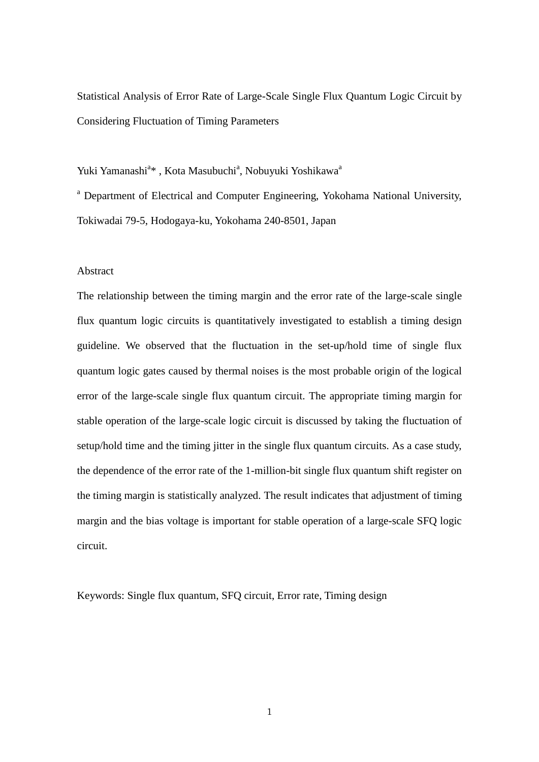Statistical Analysis of Error Rate of Large-Scale Single Flux Quantum Logic Circuit by Considering Fluctuation of Timing Parameters

Yuki Yamanashi<sup>a</sup>\*, Kota Masubuchi<sup>a</sup>, Nobuyuki Yoshikawa<sup>a</sup>

<sup>a</sup> Department of Electrical and Computer Engineering, Yokohama National University, Tokiwadai 79-5, Hodogaya-ku, Yokohama 240-8501, Japan

### Abstract

The relationship between the timing margin and the error rate of the large-scale single flux quantum logic circuits is quantitatively investigated to establish a timing design guideline. We observed that the fluctuation in the set-up/hold time of single flux quantum logic gates caused by thermal noises is the most probable origin of the logical error of the large-scale single flux quantum circuit. The appropriate timing margin for stable operation of the large-scale logic circuit is discussed by taking the fluctuation of setup/hold time and the timing jitter in the single flux quantum circuits. As a case study, the dependence of the error rate of the 1-million-bit single flux quantum shift register on the timing margin is statistically analyzed. The result indicates that adjustment of timing margin and the bias voltage is important for stable operation of a large-scale SFQ logic circuit.

Keywords: Single flux quantum, SFQ circuit, Error rate, Timing design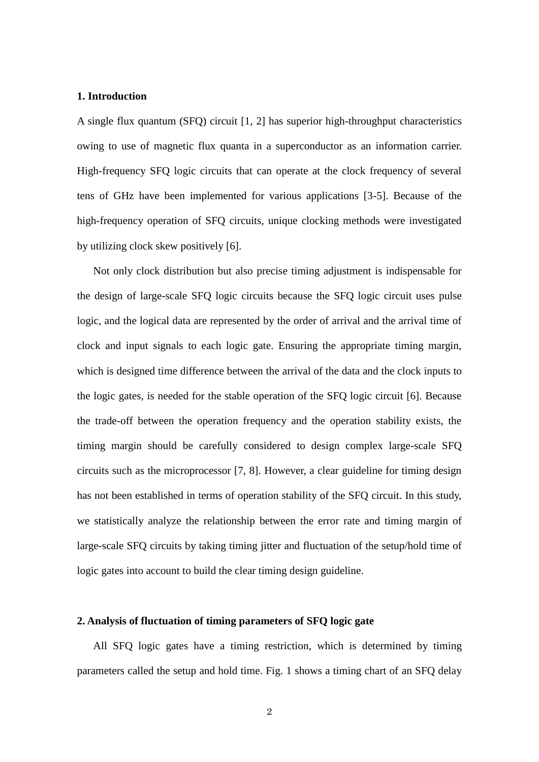### **1. Introduction**

A single flux quantum (SFQ) circuit [1, 2] has superior high-throughput characteristics owing to use of magnetic flux quanta in a superconductor as an information carrier. High-frequency SFQ logic circuits that can operate at the clock frequency of several tens of GHz have been implemented for various applications [3-5]. Because of the high-frequency operation of SFQ circuits, unique clocking methods were investigated by utilizing clock skew positively [6].

 Not only clock distribution but also precise timing adjustment is indispensable for the design of large-scale SFQ logic circuits because the SFQ logic circuit uses pulse logic, and the logical data are represented by the order of arrival and the arrival time of clock and input signals to each logic gate. Ensuring the appropriate timing margin, which is designed time difference between the arrival of the data and the clock inputs to the logic gates, is needed for the stable operation of the SFQ logic circuit [6]. Because the trade-off between the operation frequency and the operation stability exists, the timing margin should be carefully considered to design complex large-scale SFQ circuits such as the microprocessor [7, 8]. However, a clear guideline for timing design has not been established in terms of operation stability of the SFQ circuit. In this study, we statistically analyze the relationship between the error rate and timing margin of large-scale SFQ circuits by taking timing jitter and fluctuation of the setup/hold time of logic gates into account to build the clear timing design guideline.

### **2. Analysis of fluctuation of timing parameters of SFQ logic gate**

 All SFQ logic gates have a timing restriction, which is determined by timing parameters called the setup and hold time. Fig. 1 shows a timing chart of an SFQ delay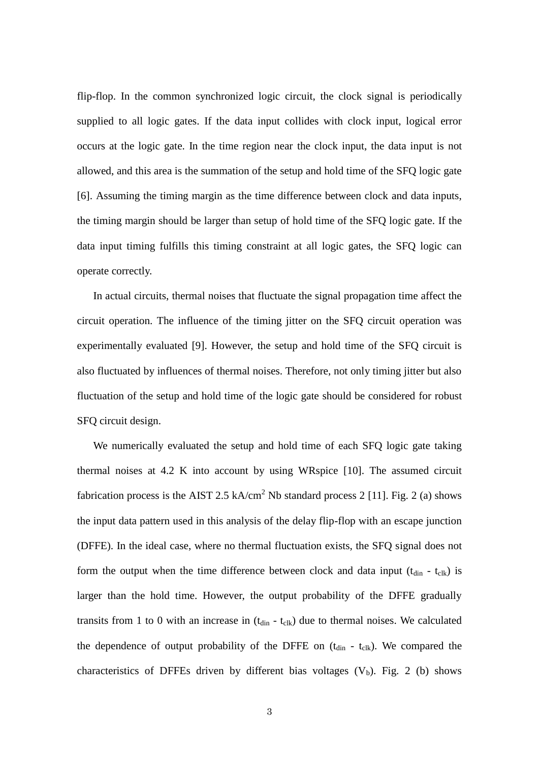flip-flop. In the common synchronized logic circuit, the clock signal is periodically supplied to all logic gates. If the data input collides with clock input, logical error occurs at the logic gate. In the time region near the clock input, the data input is not allowed, and this area is the summation of the setup and hold time of the SFQ logic gate [6]. Assuming the timing margin as the time difference between clock and data inputs, the timing margin should be larger than setup of hold time of the SFQ logic gate. If the data input timing fulfills this timing constraint at all logic gates, the SFQ logic can operate correctly.

In actual circuits, thermal noises that fluctuate the signal propagation time affect the circuit operation. The influence of the timing jitter on the SFQ circuit operation was experimentally evaluated [9]. However, the setup and hold time of the SFQ circuit is also fluctuated by influences of thermal noises. Therefore, not only timing jitter but also fluctuation of the setup and hold time of the logic gate should be considered for robust SFQ circuit design.

 We numerically evaluated the setup and hold time of each SFQ logic gate taking thermal noises at 4.2 K into account by using WRspice [10]. The assumed circuit fabrication process is the AIST 2.5 kA/cm<sup>2</sup> Nb standard process 2 [11]. Fig. 2 (a) shows the input data pattern used in this analysis of the delay flip-flop with an escape junction (DFFE). In the ideal case, where no thermal fluctuation exists, the SFQ signal does not form the output when the time difference between clock and data input  $(t_{\text{din}} - t_{\text{clk}})$  is larger than the hold time. However, the output probability of the DFFE gradually transits from 1 to 0 with an increase in  $(t_{\text{din}} - t_{\text{clk}})$  due to thermal noises. We calculated the dependence of output probability of the DFFE on  $(t_{\text{din}} - t_{\text{clk}})$ . We compared the characteristics of DFFEs driven by different bias voltages  $(V_b)$ . Fig. 2 (b) shows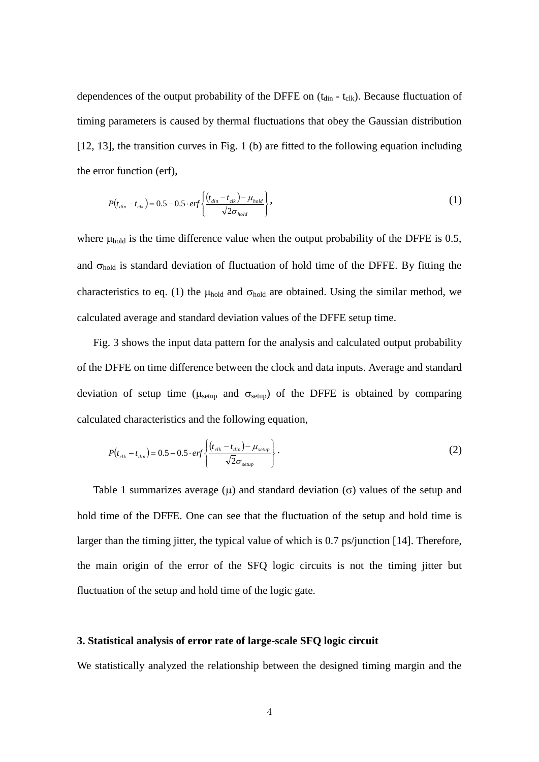dependences of the output probability of the DFFE on  $(t_{\text{din}} - t_{\text{clk}})$ . Because fluctuation of timing parameters is caused by thermal fluctuations that obey the Gaussian distribution [12, 13], the transition curves in Fig. 1 (b) are fitted to the following equation including the error function (erf),

$$
P(t_{\text{din}}-t_{\text{clk}})=0.5-0.5\cdot\text{erf}\left\{\frac{(t_{\text{din}}-t_{\text{clk}})-\mu_{\text{hold}}}{\sqrt{2}\sigma_{\text{hold}}}\right\},\tag{1}
$$

where  $\mu_{hold}$  is the time difference value when the output probability of the DFFE is 0.5, and  $\sigma_{hold}$  is standard deviation of fluctuation of hold time of the DFFE. By fitting the characteristics to eq. (1) the  $\mu_{hold}$  and  $\sigma_{hold}$  are obtained. Using the similar method, we calculated average and standard deviation values of the DFFE setup time.

 Fig. 3 shows the input data pattern for the analysis and calculated output probability of the DFFE on time difference between the clock and data inputs. Average and standard deviation of setup time ( $\mu_{\text{setup}}$  and  $\sigma_{\text{setup}}$ ) of the DFFE is obtained by comparing calculated characteristics and the following equation,

$$
P(t_{\text{clk}} - t_{\text{din}}) = 0.5 - 0.5 \cdot \text{erf}\left\{\frac{(t_{\text{clk}} - t_{\text{din}}) - \mu_{\text{setup}}}{\sqrt{2}\sigma_{\text{setup}}}\right\}.
$$

Table 1 summarizes average ( $\mu$ ) and standard deviation ( $\sigma$ ) values of the setup and hold time of the DFFE. One can see that the fluctuation of the setup and hold time is larger than the timing jitter, the typical value of which is 0.7 ps/junction [14]. Therefore, the main origin of the error of the SFQ logic circuits is not the timing jitter but fluctuation of the setup and hold time of the logic gate.

# **3. Statistical analysis of error rate of large-scale SFQ logic circuit**

We statistically analyzed the relationship between the designed timing margin and the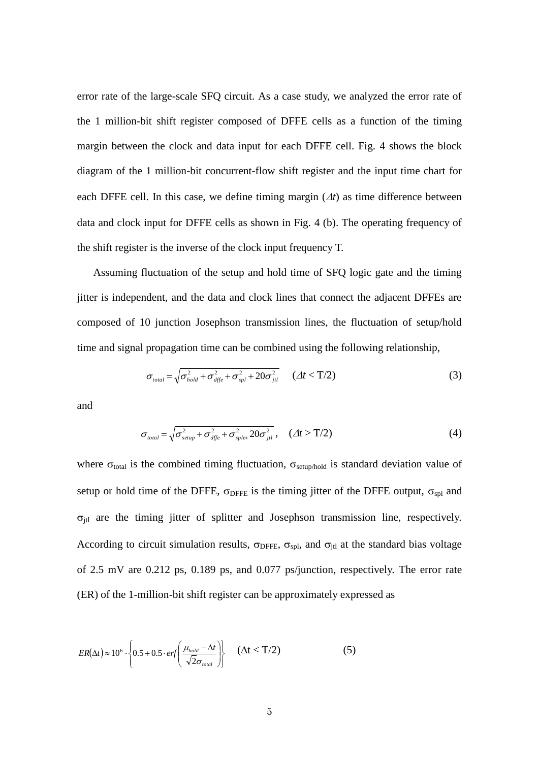error rate of the large-scale SFQ circuit. As a case study, we analyzed the error rate of the 1 million-bit shift register composed of DFFE cells as a function of the timing margin between the clock and data input for each DFFE cell. Fig. 4 shows the block diagram of the 1 million-bit concurrent-flow shift register and the input time chart for each DFFE cell. In this case, we define timing margin  $(\Delta t)$  as time difference between data and clock input for DFFE cells as shown in Fig. 4 (b). The operating frequency of the shift register is the inverse of the clock input frequency T.

 Assuming fluctuation of the setup and hold time of SFQ logic gate and the timing jitter is independent, and the data and clock lines that connect the adjacent DFFEs are composed of 10 junction Josephson transmission lines, the fluctuation of setup/hold time and signal propagation time can be combined using the following relationship,

$$
\sigma_{\text{total}} = \sqrt{\sigma_{\text{hold}}^2 + \sigma_{\text{dffe}}^2 + \sigma_{\text{spl}}^2 + 20\sigma_{\text{jtl}}^2} \quad (\varDelta t < T/2) \tag{3}
$$

and

$$
\sigma_{\text{total}} = \sqrt{\sigma_{\text{setup}}^2 + \sigma_{\text{after}}^2 + \sigma_{\text{splet}}^2 20 \sigma_{\text{jet}}^2}, \quad (\varDelta t > \text{T}/2)
$$
 (4)

where  $\sigma_{total}$  is the combined timing fluctuation,  $\sigma_{setup/hold}$  is standard deviation value of setup or hold time of the DFFE,  $\sigma_{\text{DFFE}}$  is the timing jitter of the DFFE output,  $\sigma_{\text{spl}}$  and  $\sigma_{\text{it}}$  are the timing jitter of splitter and Josephson transmission line, respectively. According to circuit simulation results,  $\sigma_{\text{DFFE}}$ ,  $\sigma_{\text{spl}}$ , and  $\sigma_{\text{it}}$  at the standard bias voltage of 2.5 mV are 0.212 ps, 0.189 ps, and 0.077 ps/junction, respectively. The error rate (ER) of the 1-million-bit shift register can be approximately expressed as

$$
ER(\Delta t) \approx 10^6 \cdot \left\{ 0.5 + 0.5 \cdot erf\left(\frac{\mu_{hold} - \Delta t}{\sqrt{2}\sigma_{total}}\right) \right\} \quad (\Delta t < T/2)
$$
 (5)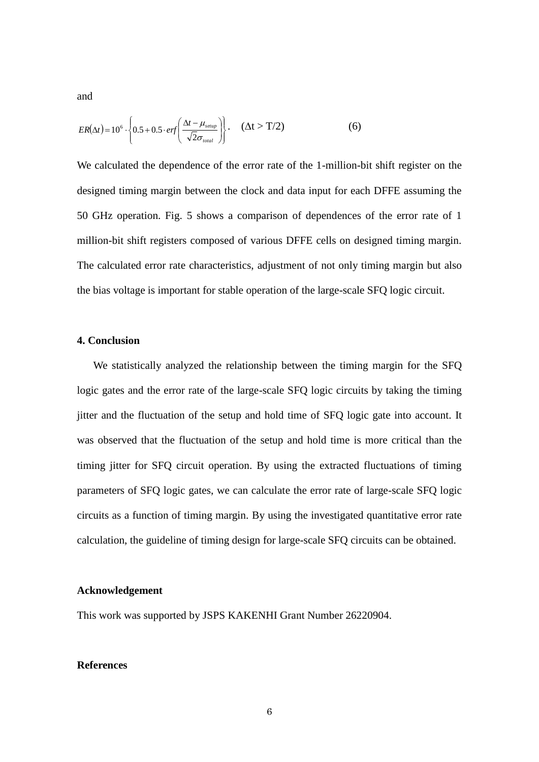and

$$
ER(\Delta t) = 10^6 \cdot \left\{ 0.5 + 0.5 \cdot erf\left(\frac{\Delta t - \mu_{\text{setup}}}{\sqrt{2}\sigma_{\text{total}}}\right) \right\}.
$$
 ( \Delta t > T/2) (6)

We calculated the dependence of the error rate of the 1-million-bit shift register on the designed timing margin between the clock and data input for each DFFE assuming the 50 GHz operation. Fig. 5 shows a comparison of dependences of the error rate of 1 million-bit shift registers composed of various DFFE cells on designed timing margin. The calculated error rate characteristics, adjustment of not only timing margin but also the bias voltage is important for stable operation of the large-scale SFQ logic circuit.

#### **4. Conclusion**

 We statistically analyzed the relationship between the timing margin for the SFQ logic gates and the error rate of the large-scale SFQ logic circuits by taking the timing jitter and the fluctuation of the setup and hold time of SFQ logic gate into account. It was observed that the fluctuation of the setup and hold time is more critical than the timing jitter for SFQ circuit operation. By using the extracted fluctuations of timing parameters of SFQ logic gates, we can calculate the error rate of large-scale SFQ logic circuits as a function of timing margin. By using the investigated quantitative error rate calculation, the guideline of timing design for large-scale SFQ circuits can be obtained.

# **Acknowledgement**

This work was supported by JSPS KAKENHI Grant Number 26220904.

#### **References**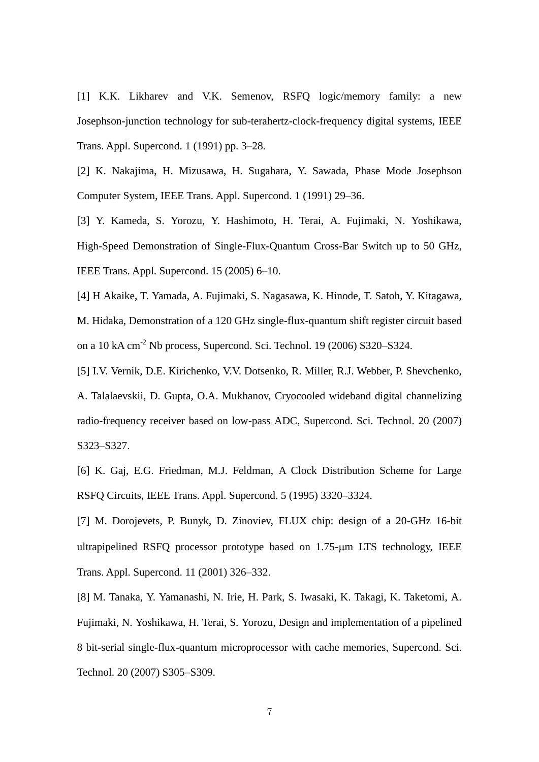[1] K.K. Likharev and V.K. Semenov, RSFQ logic/memory family: a new Josephson-junction technology for sub-terahertz-clock-frequency digital systems, IEEE Trans. Appl. Supercond. 1 (1991) pp. 3–28.

[2] K. Nakajima, H. Mizusawa, H. Sugahara, Y. Sawada, Phase Mode Josephson Computer System, IEEE Trans. Appl. Supercond. 1 (1991) 29–36.

[3] Y. Kameda, S. Yorozu, Y. Hashimoto, H. Terai, A. Fujimaki, N. Yoshikawa, High-Speed Demonstration of Single-Flux-Quantum Cross-Bar Switch up to 50 GHz, IEEE Trans. Appl. Supercond. 15 (2005) 6–10.

[4] H Akaike, T. Yamada, A. Fujimaki, S. Nagasawa, K. Hinode, T. Satoh, Y. Kitagawa, M. Hidaka, Demonstration of a 120 GHz single-flux-quantum shift register circuit based on a 10 kA cm-2 Nb process, Supercond. Sci. Technol. 19 (2006) S320–S324.

[5] I.V. Vernik, D.E. Kirichenko, V.V. Dotsenko, R. Miller, R.J. Webber, P. Shevchenko, A. Talalaevskii, D. Gupta, O.A. Mukhanov, Cryocooled wideband digital channelizing radio-frequency receiver based on low-pass ADC, Supercond. Sci. Technol. 20 (2007) S323–S327.

[6] K. Gaj, E.G. Friedman, M.J. Feldman, A Clock Distribution Scheme for Large RSFQ Circuits, IEEE Trans. Appl. Supercond. 5 (1995) 3320–3324.

[7] M. Dorojevets, P. Bunyk, D. Zinoviev, FLUX chip: design of a 20-GHz 16-bit ultrapipelined RSFQ processor prototype based on 1.75-µm LTS technology, IEEE Trans. Appl. Supercond. 11 (2001) 326–332.

[8] M. Tanaka, Y. Yamanashi, N. Irie, H. Park, S. Iwasaki, K. Takagi, K. Taketomi, A. Fujimaki, N. Yoshikawa, H. Terai, S. Yorozu, Design and implementation of a pipelined 8 bit-serial single-flux-quantum microprocessor with cache memories, Supercond. Sci. Technol. 20 (2007) S305–S309.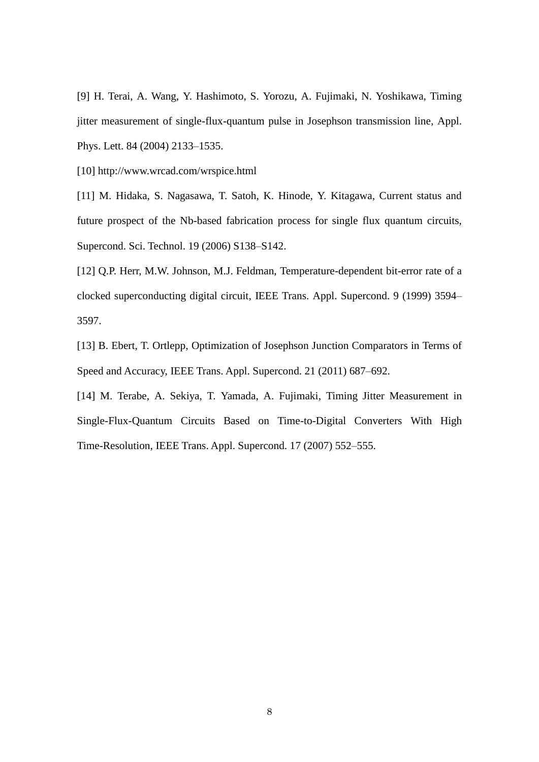[9] H. Terai, A. Wang, Y. Hashimoto, S. Yorozu, A. Fujimaki, N. Yoshikawa, Timing jitter measurement of single-flux-quantum pulse in Josephson transmission line, Appl. Phys. Lett. 84 (2004) 2133–1535.

[10] http://www.wrcad.com/wrspice.html

[11] M. Hidaka, S. Nagasawa, T. Satoh, K. Hinode, Y. Kitagawa, Current status and future prospect of the Nb-based fabrication process for single flux quantum circuits, Supercond. Sci. Technol. 19 (2006) S138–S142.

[12] Q.P. Herr, M.W. Johnson, M.J. Feldman, Temperature-dependent bit-error rate of a clocked superconducting digital circuit, IEEE Trans. Appl. Supercond. 9 (1999) 3594– 3597.

[13] B. Ebert, T. Ortlepp, Optimization of Josephson Junction Comparators in Terms of Speed and Accuracy, IEEE Trans. Appl. Supercond. 21 (2011) 687–692.

[14] M. Terabe, A. Sekiya, T. Yamada, A. Fujimaki, Timing Jitter Measurement in Single-Flux-Quantum Circuits Based on Time-to-Digital Converters With High Time-Resolution, IEEE Trans. Appl. Supercond. 17 (2007) 552–555.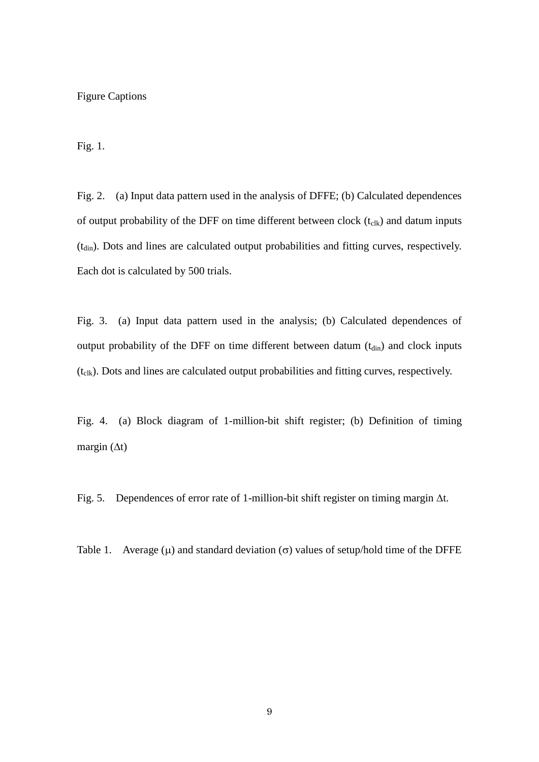### Figure Captions

Fig. 1.

Fig. 2. (a) Input data pattern used in the analysis of DFFE; (b) Calculated dependences of output probability of the DFF on time different between clock  $(t_{\text{clk}})$  and datum inputs (t<sub>din</sub>). Dots and lines are calculated output probabilities and fitting curves, respectively. Each dot is calculated by 500 trials.

Fig. 3. (a) Input data pattern used in the analysis; (b) Calculated dependences of output probability of the DFF on time different between datum  $(t_{din})$  and clock inputs  $(t_{\text{clk}})$ . Dots and lines are calculated output probabilities and fitting curves, respectively.

Fig. 4. (a) Block diagram of 1-million-bit shift register; (b) Definition of timing margin  $(\Delta t)$ 

Fig. 5. Dependences of error rate of 1-million-bit shift register on timing margin  $\Delta t$ .

Table 1. Average  $(\mu)$  and standard deviation  $(\sigma)$  values of setup/hold time of the DFFE

9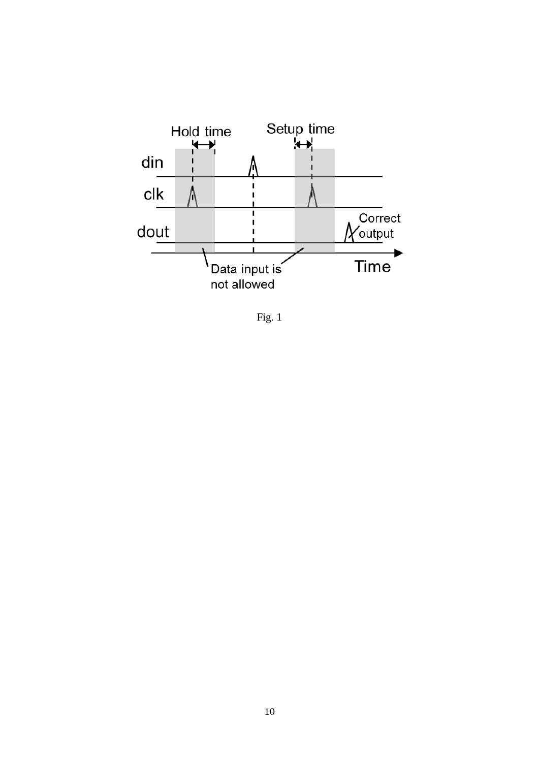

Fig. 1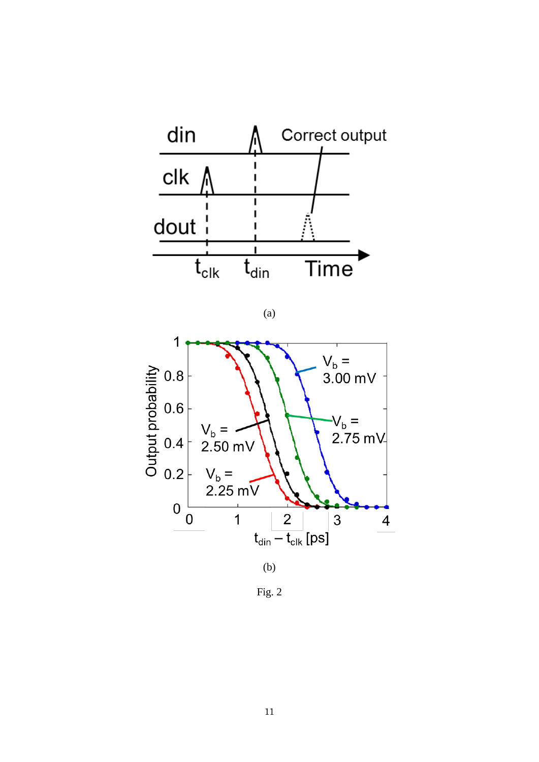

 $(a)$ 



 $Fig. 2$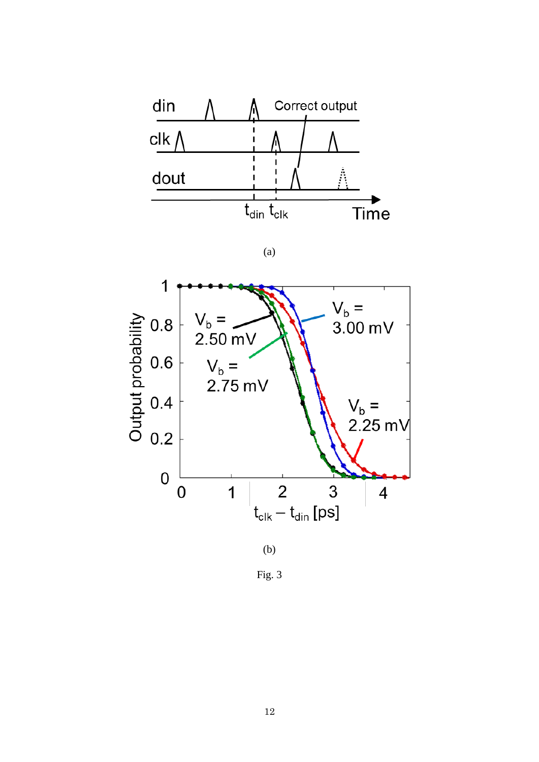

 $(a)$ 





Fig. 3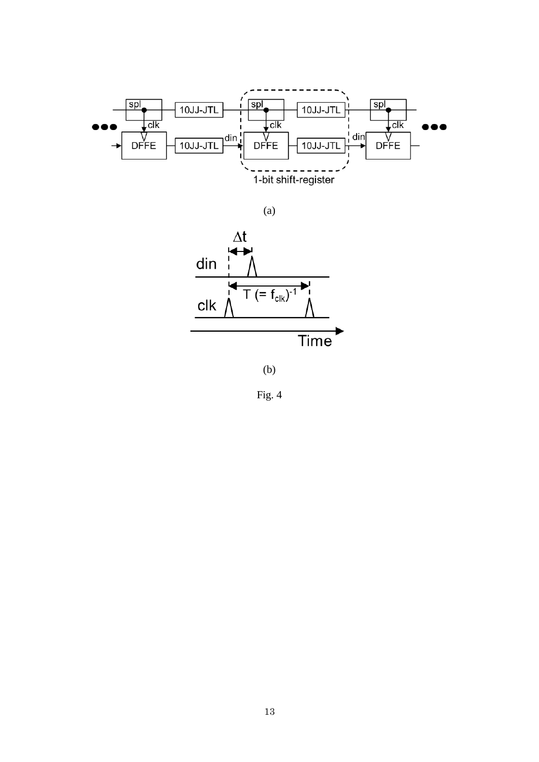

 $(a)$ 



 $(b)$ 

Fig. 4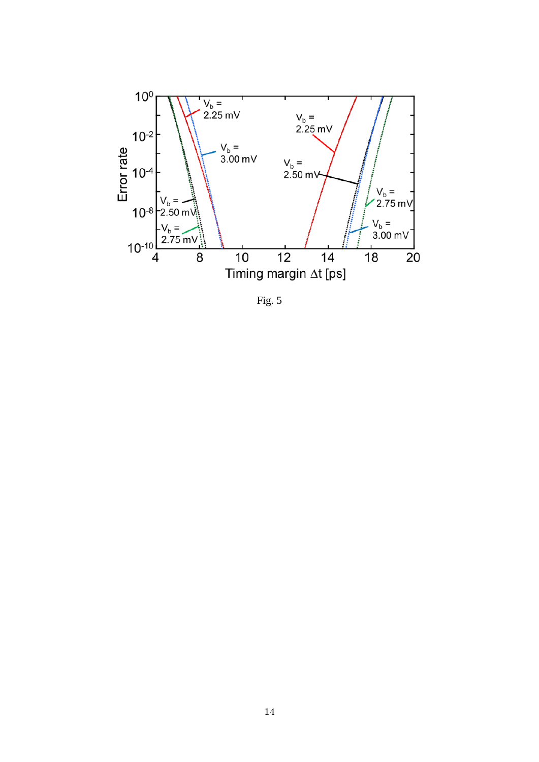

Fig. 5